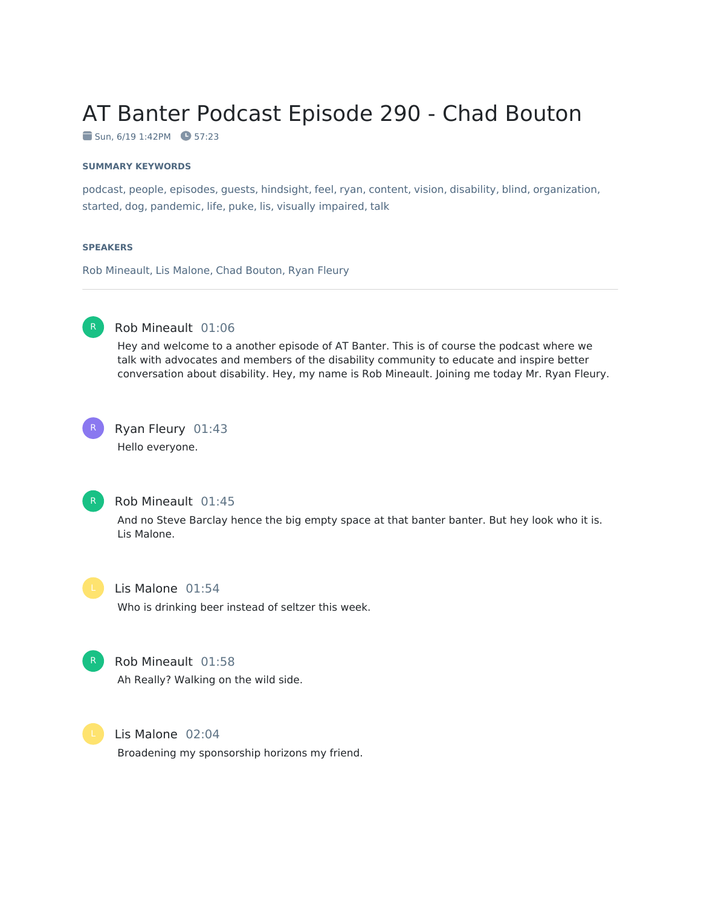# AT Banter Podcast Episode 290 - Chad Bouton

 $\blacksquare$  Sun, 6/19 1:42PM  $\blacksquare$  57:23

#### **SUMMARY KEYWORDS**

podcast, people, episodes, guests, hindsight, feel, ryan, content, vision, disability, blind, organization, started, dog, pandemic, life, puke, lis, visually impaired, talk

#### **SPEAKERS**

Rob Mineault, Lis Malone, Chad Bouton, Ryan Fleury



#### Rob Mineault 01:06

Hey and welcome to a another episode of AT Banter. This is of course the podcast where we talk with advocates and members of the disability community to educate and inspire better conversation about disability. Hey, my name is Rob Mineault. Joining me today Mr. Ryan Fleury.



### Ryan Fleury 01:43

Hello everyone.



#### Rob Mineault 01:45

And no Steve Barclay hence the big empty space at that banter banter. But hey look who it is. Lis Malone.

#### Lis Malone 01:54

Who is drinking beer instead of seltzer this week.



#### Rob Mineault 01:58

Ah Really? Walking on the wild side.



Lis Malone 02:04

Broadening my sponsorship horizons my friend.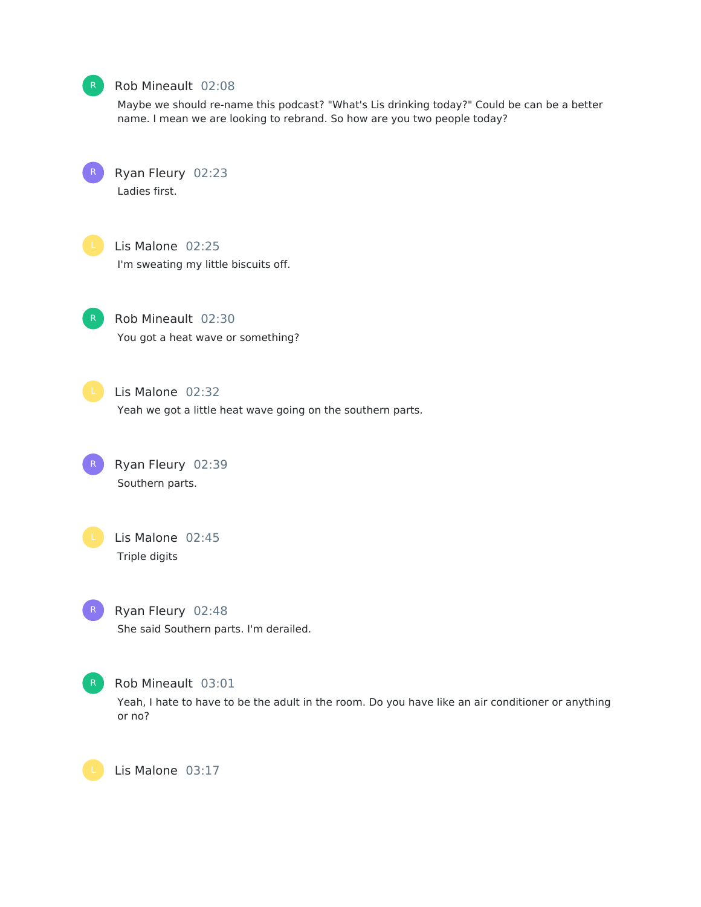

#### Rob Mineault 02:08

Maybe we should re-name this podcast? "What's Lis drinking today?" Could be can be a better name. I mean we are looking to rebrand. So how are you two people today?

Ryan Fleury 02:23 Ladies first.



Lis Malone 02:25 I'm sweating my little biscuits off.

Rob Mineault 02:30 You got a heat wave or something?

Lis Malone 02:32

Yeah we got a little heat wave going on the southern parts.

Ryan Fleury 02:39 Southern parts.

Lis Malone 02:45 Triple digits



Ryan Fleury 02:48 She said Southern parts. I'm derailed.



Rob Mineault 03:01

Yeah, I hate to have to be the adult in the room. Do you have like an air conditioner or anything or no?

Lis Malone 03:17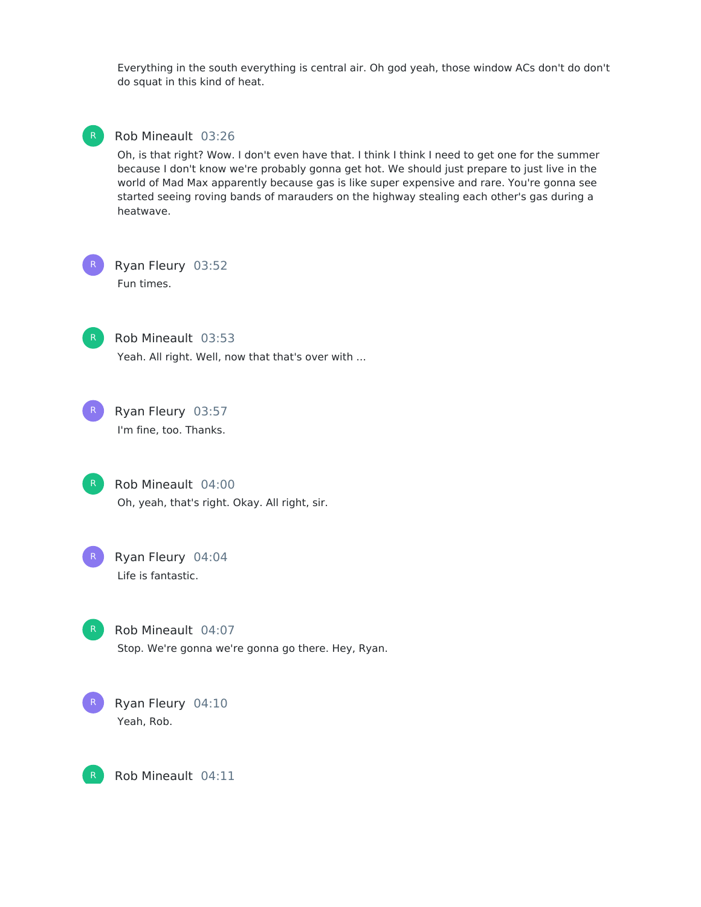Everything in the south everything is central air. Oh god yeah, those window ACs don't do don't do squat in this kind of heat.



#### Rob Mineault 03:26

Oh, is that right? Wow. I don't even have that. I think I think I need to get one for the summer because I don't know we're probably gonna get hot. We should just prepare to just live in the world of Mad Max apparently because gas is like super expensive and rare. You're gonna see started seeing roving bands of marauders on the highway stealing each other's gas during a heatwave.

R

Ryan Fleury 03:52 Fun times.



Rob Mineault 03:53

Yeah. All right. Well, now that that's over with ...



Ryan Fleury 03:57 I'm fine, too. Thanks.

Rob Mineault 04:00 Oh, yeah, that's right. Okay. All right, sir.



Ryan Fleury 04:04 Life is fantastic.

Rob Mineault 04:07 Stop. We're gonna we're gonna go there. Hey, Ryan.



Ryan Fleury 04:10 Yeah, Rob.

R

Rob Mineault 04:11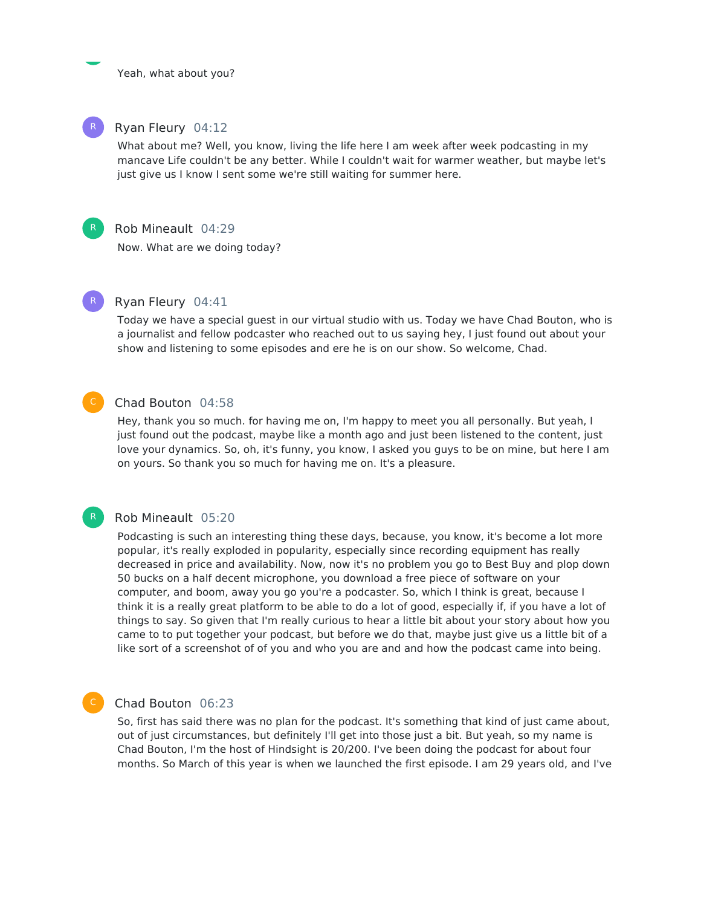Yeah, what about you?

#### Ryan Fleury 04:12

What about me? Well, you know, living the life here I am week after week podcasting in my mancave Life couldn't be any better. While I couldn't wait for warmer weather, but maybe let's just give us I know I sent some we're still waiting for summer here.



R

#### Rob Mineault 04:29

Now. What are we doing today?



#### Ryan Fleury 04:41

Today we have a special guest in our virtual studio with us. Today we have Chad Bouton, who is a journalist and fellow podcaster who reached out to us saying hey, I just found out about your show and listening to some episodes and ere he is on our show. So welcome, Chad.

#### Chad Bouton 04:58

Hey, thank you so much. for having me on, I'm happy to meet you all personally. But yeah, I just found out the podcast, maybe like a month ago and just been listened to the content, just love your dynamics. So, oh, it's funny, you know, I asked you guys to be on mine, but here I am on yours. So thank you so much for having me on. It's a pleasure.

#### Rob Mineault 05:20

Podcasting is such an interesting thing these days, because, you know, it's become a lot more popular, it's really exploded in popularity, especially since recording equipment has really decreased in price and availability. Now, now it's no problem you go to Best Buy and plop down 50 bucks on a half decent microphone, you download a free piece of software on your computer, and boom, away you go you're a podcaster. So, which I think is great, because I think it is a really great platform to be able to do a lot of good, especially if, if you have a lot of things to say. So given that I'm really curious to hear a little bit about your story about how you came to to put together your podcast, but before we do that, maybe just give us a little bit of a like sort of a screenshot of of you and who you are and and how the podcast came into being.

#### C

#### Chad Bouton 06:23

So, first has said there was no plan for the podcast. It's something that kind of just came about, out of just circumstances, but definitely I'll get into those just a bit. But yeah, so my name is Chad Bouton, I'm the host of Hindsight is 20/200. I've been doing the podcast for about four months. So March of this year is when we launched the first episode. I am 29 years old, and I've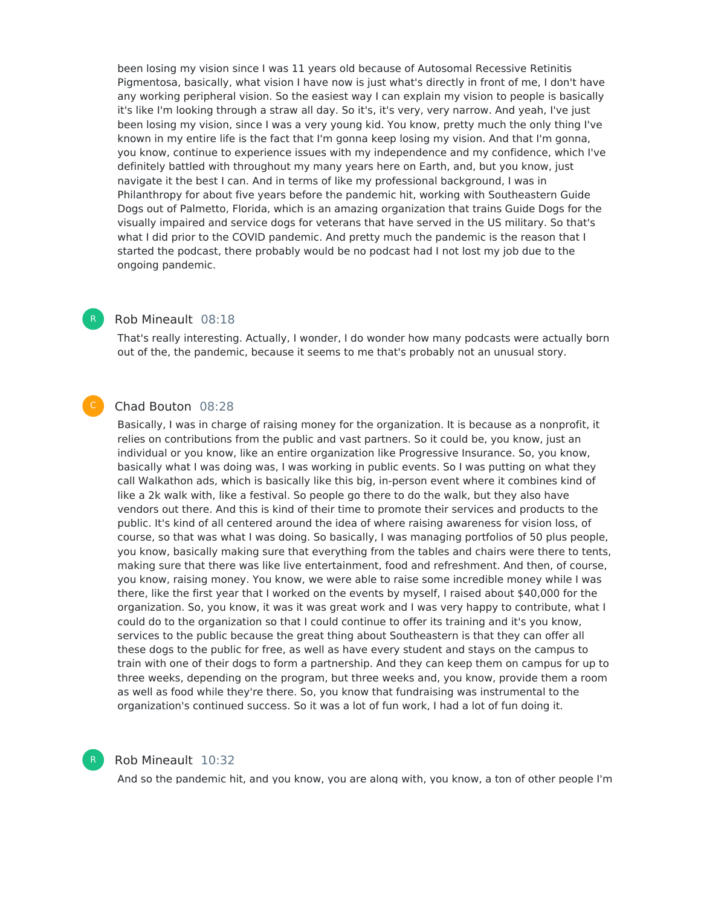been losing my vision since I was 11 years old because of Autosomal Recessive Retinitis Pigmentosa, basically, what vision I have now is just what's directly in front of me, I don't have any working peripheral vision. So the easiest way I can explain my vision to people is basically it's like I'm looking through a straw all day. So it's, it's very, very narrow. And yeah, I've just been losing my vision, since I was a very young kid. You know, pretty much the only thing I've known in my entire life is the fact that I'm gonna keep losing my vision. And that I'm gonna, you know, continue to experience issues with my independence and my confidence, which I've definitely battled with throughout my many years here on Earth, and, but you know, just navigate it the best I can. And in terms of like my professional background, I was in Philanthropy for about five years before the pandemic hit, working with Southeastern Guide Dogs out of Palmetto, Florida, which is an amazing organization that trains Guide Dogs for the visually impaired and service dogs for veterans that have served in the US military. So that's what I did prior to the COVID pandemic. And pretty much the pandemic is the reason that I started the podcast, there probably would be no podcast had I not lost my job due to the ongoing pandemic.

#### Rob Mineault 08:18

That's really interesting. Actually, I wonder, I do wonder how many podcasts were actually born out of the, the pandemic, because it seems to me that's probably not an unusual story.

#### Chad Bouton 08:28

Basically, I was in charge of raising money for the organization. It is because as a nonprofit, it relies on contributions from the public and vast partners. So it could be, you know, just an individual or you know, like an entire organization like Progressive Insurance. So, you know, basically what I was doing was, I was working in public events. So I was putting on what they call Walkathon ads, which is basically like this big, in-person event where it combines kind of like a 2k walk with, like a festival. So people go there to do the walk, but they also have vendors out there. And this is kind of their time to promote their services and products to the public. It's kind of all centered around the idea of where raising awareness for vision loss, of course, so that was what I was doing. So basically, I was managing portfolios of 50 plus people, you know, basically making sure that everything from the tables and chairs were there to tents, making sure that there was like live entertainment, food and refreshment. And then, of course, you know, raising money. You know, we were able to raise some incredible money while I was there, like the first year that I worked on the events by myself, I raised about \$40,000 for the organization. So, you know, it was it was great work and I was very happy to contribute, what I could do to the organization so that I could continue to offer its training and it's you know, services to the public because the great thing about Southeastern is that they can offer all these dogs to the public for free, as well as have every student and stays on the campus to train with one of their dogs to form a partnership. And they can keep them on campus for up to three weeks, depending on the program, but three weeks and, you know, provide them a room as well as food while they're there. So, you know that fundraising was instrumental to the organization's continued success. So it was a lot of fun work, I had a lot of fun doing it.



#### Rob Mineault 10:32

And so the pandemic hit, and you know, you are along with, you know, a ton of other people I'm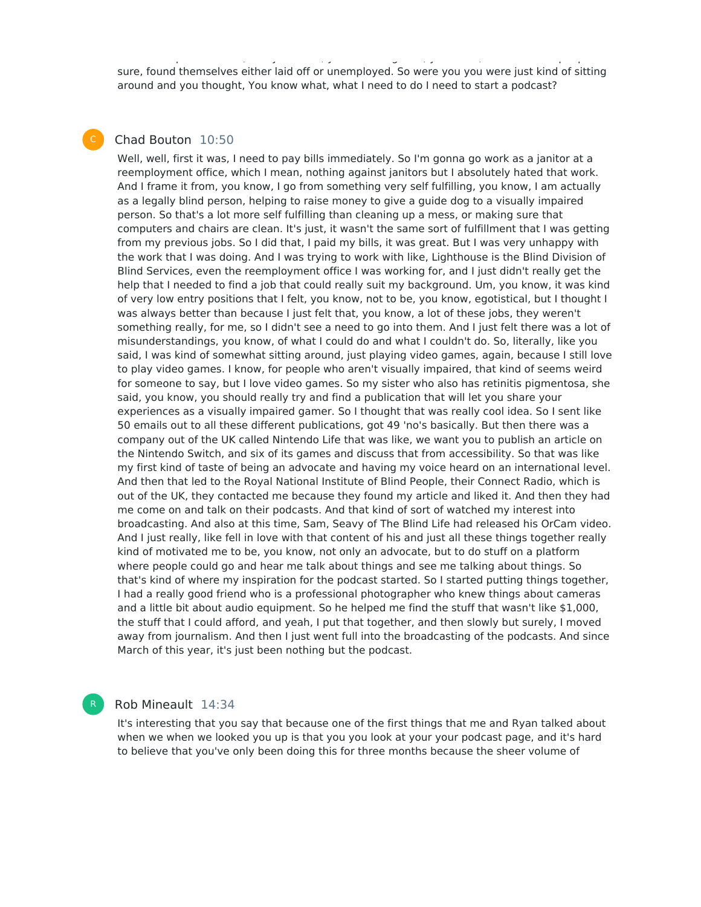sure, found themselves either laid off or unemployed. So were you you were just kind of sitting around and you thought, You know what, what I need to do I need to start a podcast?

And so the pandemic hit, and you know, you are along with, you know, a ton of other people I'm

#### Chad Bouton 10:50

Well, well, first it was, I need to pay bills immediately. So I'm gonna go work as a janitor at a reemployment office, which I mean, nothing against janitors but I absolutely hated that work. And I frame it from, you know, I go from something very self fulfilling, you know, I am actually as a legally blind person, helping to raise money to give a guide dog to a visually impaired person. So that's a lot more self fulfilling than cleaning up a mess, or making sure that computers and chairs are clean. It's just, it wasn't the same sort of fulfillment that I was getting from my previous jobs. So I did that, I paid my bills, it was great. But I was very unhappy with the work that I was doing. And I was trying to work with like, Lighthouse is the Blind Division of Blind Services, even the reemployment office I was working for, and I just didn't really get the help that I needed to find a job that could really suit my background. Um, you know, it was kind of very low entry positions that I felt, you know, not to be, you know, egotistical, but I thought I was always better than because I just felt that, you know, a lot of these jobs, they weren't something really, for me, so I didn't see a need to go into them. And I just felt there was a lot of misunderstandings, you know, of what I could do and what I couldn't do. So, literally, like you said, I was kind of somewhat sitting around, just playing video games, again, because I still love to play video games. I know, for people who aren't visually impaired, that kind of seems weird for someone to say, but I love video games. So my sister who also has retinitis pigmentosa, she said, you know, you should really try and find a publication that will let you share your experiences as a visually impaired gamer. So I thought that was really cool idea. So I sent like 50 emails out to all these different publications, got 49 'no's basically. But then there was a company out of the UK called Nintendo Life that was like, we want you to publish an article on the Nintendo Switch, and six of its games and discuss that from accessibility. So that was like my first kind of taste of being an advocate and having my voice heard on an international level. And then that led to the Royal National Institute of Blind People, their Connect Radio, which is out of the UK, they contacted me because they found my article and liked it. And then they had me come on and talk on their podcasts. And that kind of sort of watched my interest into broadcasting. And also at this time, Sam, Seavy of The Blind Life had released his OrCam video. And I just really, like fell in love with that content of his and just all these things together really kind of motivated me to be, you know, not only an advocate, but to do stuff on a platform where people could go and hear me talk about things and see me talking about things. So that's kind of where my inspiration for the podcast started. So I started putting things together, I had a really good friend who is a professional photographer who knew things about cameras and a little bit about audio equipment. So he helped me find the stuff that wasn't like \$1,000, the stuff that I could afford, and yeah, I put that together, and then slowly but surely, I moved away from journalism. And then I just went full into the broadcasting of the podcasts. And since March of this year, it's just been nothing but the podcast.

#### Rob Mineault 14:34

R

It's interesting that you say that because one of the first things that me and Ryan talked about when we when we looked you up is that you you look at your your podcast page, and it's hard to believe that you've only been doing this for three months because the sheer volume of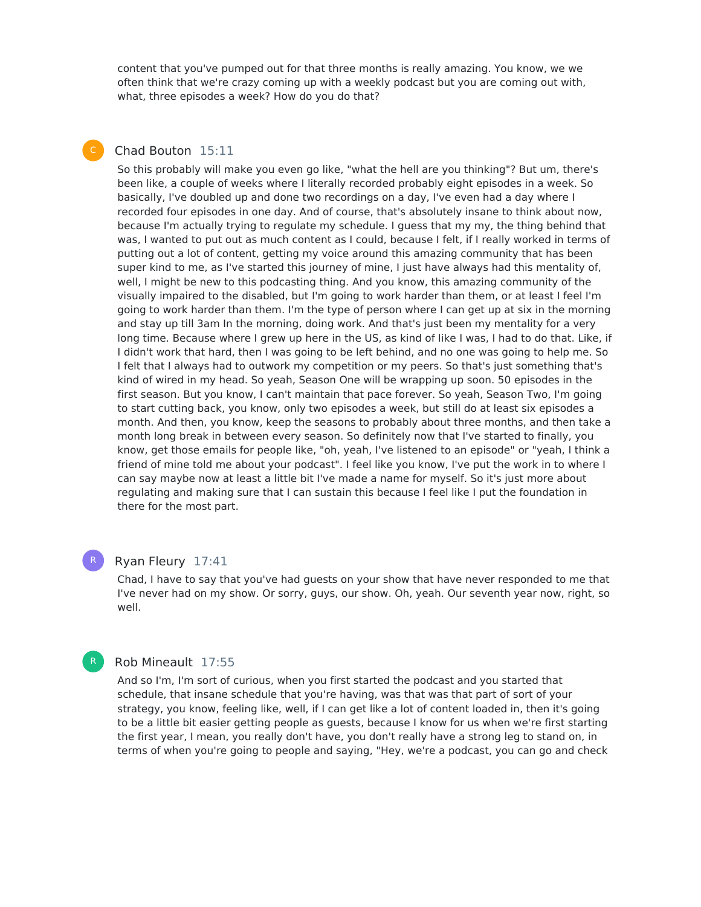content that you've pumped out for that three months is really amazing. You know, we we often think that we're crazy coming up with a weekly podcast but you are coming out with, what, three episodes a week? How do you do that?

### Chad Bouton 15:11

So this probably will make you even go like, "what the hell are you thinking"? But um, there's been like, a couple of weeks where I literally recorded probably eight episodes in a week. So basically, I've doubled up and done two recordings on a day, I've even had a day where I recorded four episodes in one day. And of course, that's absolutely insane to think about now, because I'm actually trying to regulate my schedule. I guess that my my, the thing behind that was, I wanted to put out as much content as I could, because I felt, if I really worked in terms of putting out a lot of content, getting my voice around this amazing community that has been super kind to me, as I've started this journey of mine, I just have always had this mentality of, well, I might be new to this podcasting thing. And you know, this amazing community of the visually impaired to the disabled, but I'm going to work harder than them, or at least I feel I'm going to work harder than them. I'm the type of person where I can get up at six in the morning and stay up till 3am In the morning, doing work. And that's just been my mentality for a very long time. Because where I grew up here in the US, as kind of like I was, I had to do that. Like, if I didn't work that hard, then I was going to be left behind, and no one was going to help me. So I felt that I always had to outwork my competition or my peers. So that's just something that's kind of wired in my head. So yeah, Season One will be wrapping up soon. 50 episodes in the first season. But you know, I can't maintain that pace forever. So yeah, Season Two, I'm going to start cutting back, you know, only two episodes a week, but still do at least six episodes a month. And then, you know, keep the seasons to probably about three months, and then take a month long break in between every season. So definitely now that I've started to finally, you know, get those emails for people like, "oh, yeah, I've listened to an episode" or "yeah, I think a friend of mine told me about your podcast". I feel like you know, I've put the work in to where I can say maybe now at least a little bit I've made a name for myself. So it's just more about regulating and making sure that I can sustain this because I feel like I put the foundation in there for the most part.

#### R

#### Ryan Fleury 17:41

Chad, I have to say that you've had guests on your show that have never responded to me that I've never had on my show. Or sorry, guys, our show. Oh, yeah. Our seventh year now, right, so well.

#### Rob Mineault 17:55

And so I'm, I'm sort of curious, when you first started the podcast and you started that schedule, that insane schedule that you're having, was that was that part of sort of your strategy, you know, feeling like, well, if I can get like a lot of content loaded in, then it's going to be a little bit easier getting people as guests, because I know for us when we're first starting the first year, I mean, you really don't have, you don't really have a strong leg to stand on, in terms of when you're going to people and saying, "Hey, we're a podcast, you can go and check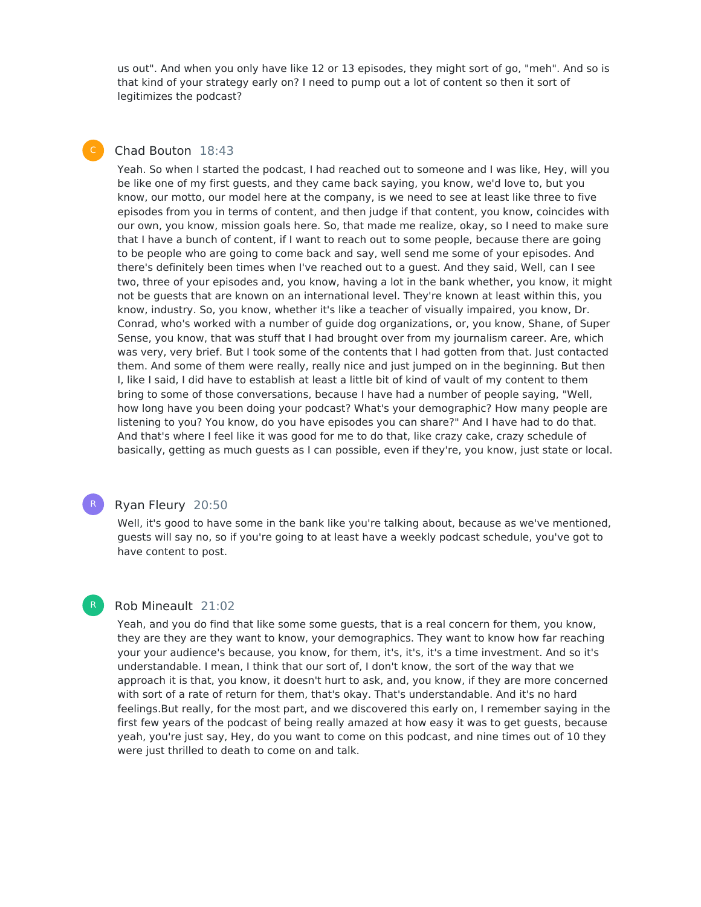us out". And when you only have like 12 or 13 episodes, they might sort of go, "meh". And so is that kind of your strategy early on? I need to pump out a lot of content so then it sort of legitimizes the podcast?

#### Chad Bouton 18:43

Yeah. So when I started the podcast, I had reached out to someone and I was like, Hey, will you be like one of my first guests, and they came back saying, you know, we'd love to, but you know, our motto, our model here at the company, is we need to see at least like three to five episodes from you in terms of content, and then judge if that content, you know, coincides with our own, you know, mission goals here. So, that made me realize, okay, so I need to make sure that I have a bunch of content, if I want to reach out to some people, because there are going to be people who are going to come back and say, well send me some of your episodes. And there's definitely been times when I've reached out to a guest. And they said, Well, can I see two, three of your episodes and, you know, having a lot in the bank whether, you know, it might not be guests that are known on an international level. They're known at least within this, you know, industry. So, you know, whether it's like a teacher of visually impaired, you know, Dr. Conrad, who's worked with a number of guide dog organizations, or, you know, Shane, of Super Sense, you know, that was stuff that I had brought over from my journalism career. Are, which was very, very brief. But I took some of the contents that I had gotten from that. Just contacted them. And some of them were really, really nice and just jumped on in the beginning. But then I, like I said, I did have to establish at least a little bit of kind of vault of my content to them bring to some of those conversations, because I have had a number of people saying, "Well, how long have you been doing your podcast? What's your demographic? How many people are listening to you? You know, do you have episodes you can share?" And I have had to do that. And that's where I feel like it was good for me to do that, like crazy cake, crazy schedule of basically, getting as much guests as I can possible, even if they're, you know, just state or local.

#### R

#### Ryan Fleury 20:50

Well, it's good to have some in the bank like you're talking about, because as we've mentioned, guests will say no, so if you're going to at least have a weekly podcast schedule, you've got to have content to post.

# R

#### Rob Mineault 21:02

Yeah, and you do find that like some some guests, that is a real concern for them, you know, they are they are they want to know, your demographics. They want to know how far reaching your your audience's because, you know, for them, it's, it's, it's a time investment. And so it's understandable. I mean, I think that our sort of, I don't know, the sort of the way that we approach it is that, you know, it doesn't hurt to ask, and, you know, if they are more concerned with sort of a rate of return for them, that's okay. That's understandable. And it's no hard feelings.But really, for the most part, and we discovered this early on, I remember saying in the first few years of the podcast of being really amazed at how easy it was to get guests, because yeah, you're just say, Hey, do you want to come on this podcast, and nine times out of 10 they were just thrilled to death to come on and talk.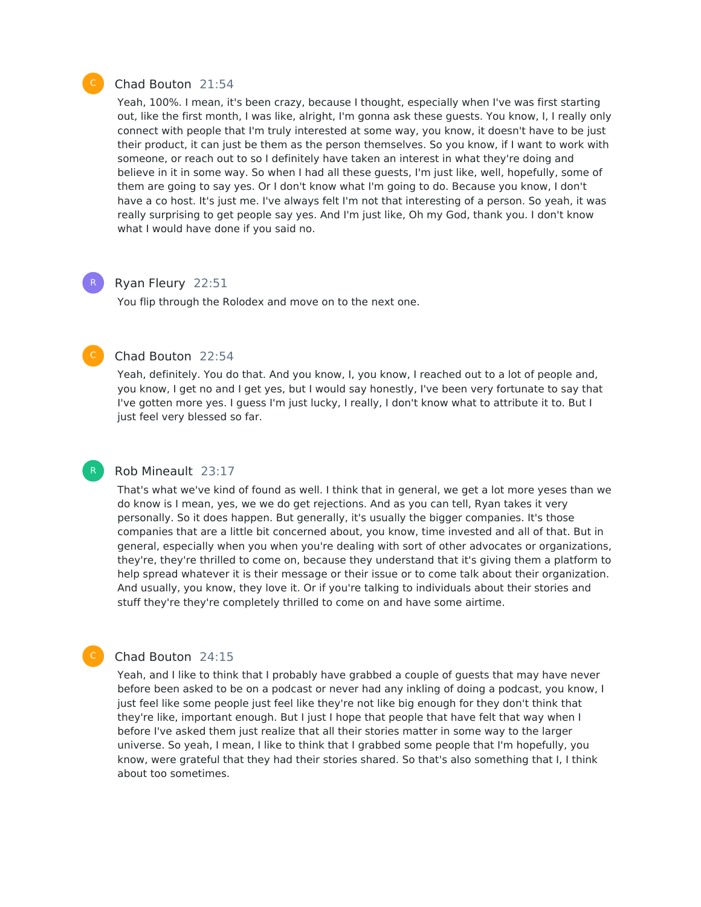#### Chad Bouton 21:54

Yeah, 100%. I mean, it's been crazy, because I thought, especially when I've was first starting out, like the first month, I was like, alright, I'm gonna ask these guests. You know, I, I really only connect with people that I'm truly interested at some way, you know, it doesn't have to be just their product, it can just be them as the person themselves. So you know, if I want to work with someone, or reach out to so I definitely have taken an interest in what they're doing and believe in it in some way. So when I had all these guests, I'm just like, well, hopefully, some of them are going to say yes. Or I don't know what I'm going to do. Because you know, I don't have a co host. It's just me. I've always felt I'm not that interesting of a person. So yeah, it was really surprising to get people say yes. And I'm just like, Oh my God, thank you. I don't know what I would have done if you said no.

#### Ryan Fleury 22:51

You flip through the Rolodex and move on to the next one.

#### Chad Bouton 22:54

Yeah, definitely. You do that. And you know, I, you know, I reached out to a lot of people and, you know, I get no and I get yes, but I would say honestly, I've been very fortunate to say that I've gotten more yes. I guess I'm just lucky, I really, I don't know what to attribute it to. But I just feel very blessed so far.

#### Rob Mineault 23:17

That's what we've kind of found as well. I think that in general, we get a lot more yeses than we do know is I mean, yes, we we do get rejections. And as you can tell, Ryan takes it very personally. So it does happen. But generally, it's usually the bigger companies. It's those companies that are a little bit concerned about, you know, time invested and all of that. But in general, especially when you when you're dealing with sort of other advocates or organizations, they're, they're thrilled to come on, because they understand that it's giving them a platform to help spread whatever it is their message or their issue or to come talk about their organization. And usually, you know, they love it. Or if you're talking to individuals about their stories and stuff they're they're completely thrilled to come on and have some airtime.

#### Chad Bouton 24:15

Yeah, and I like to think that I probably have grabbed a couple of guests that may have never before been asked to be on a podcast or never had any inkling of doing a podcast, you know, I just feel like some people just feel like they're not like big enough for they don't think that they're like, important enough. But I just I hope that people that have felt that way when I before I've asked them just realize that all their stories matter in some way to the larger universe. So yeah, I mean, I like to think that I grabbed some people that I'm hopefully, you know, were grateful that they had their stories shared. So that's also something that I, I think about too sometimes.



R

R

C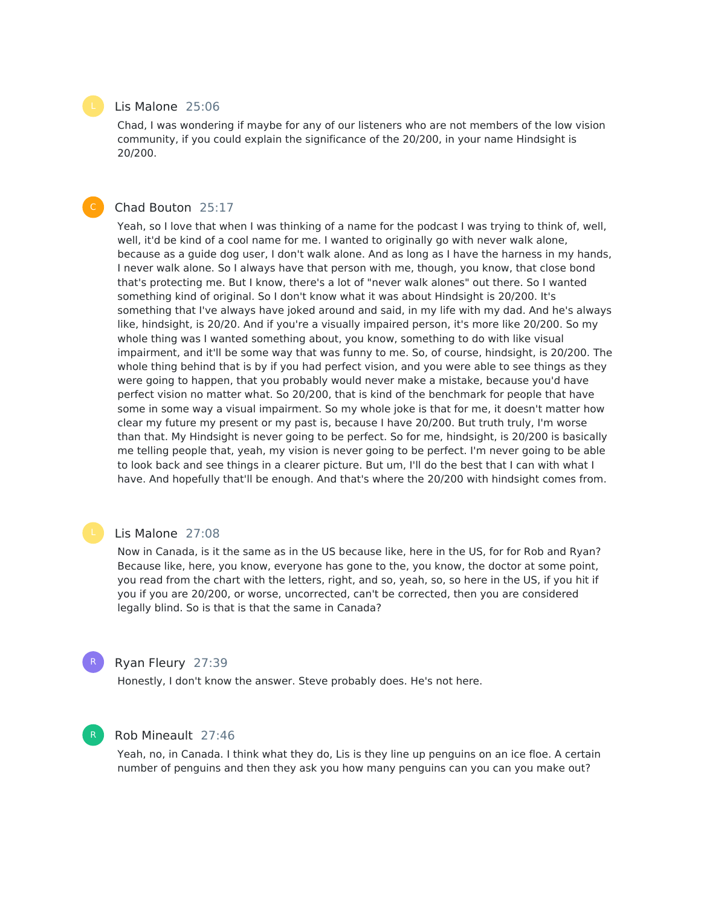#### Lis Malone 25:06

Chad, I was wondering if maybe for any of our listeners who are not members of the low vision community, if you could explain the significance of the 20/200, in your name Hindsight is 20/200.

#### Chad Bouton 25:17

Yeah, so I love that when I was thinking of a name for the podcast I was trying to think of, well, well, it'd be kind of a cool name for me. I wanted to originally go with never walk alone, because as a guide dog user, I don't walk alone. And as long as I have the harness in my hands, I never walk alone. So I always have that person with me, though, you know, that close bond that's protecting me. But I know, there's a lot of "never walk alones" out there. So I wanted something kind of original. So I don't know what it was about Hindsight is 20/200. It's something that I've always have joked around and said, in my life with my dad. And he's always like, hindsight, is 20/20. And if you're a visually impaired person, it's more like 20/200. So my whole thing was I wanted something about, you know, something to do with like visual impairment, and it'll be some way that was funny to me. So, of course, hindsight, is 20/200. The whole thing behind that is by if you had perfect vision, and you were able to see things as they were going to happen, that you probably would never make a mistake, because you'd have perfect vision no matter what. So 20/200, that is kind of the benchmark for people that have some in some way a visual impairment. So my whole joke is that for me, it doesn't matter how clear my future my present or my past is, because I have 20/200. But truth truly, I'm worse than that. My Hindsight is never going to be perfect. So for me, hindsight, is 20/200 is basically me telling people that, yeah, my vision is never going to be perfect. I'm never going to be able to look back and see things in a clearer picture. But um, I'll do the best that I can with what I have. And hopefully that'll be enough. And that's where the 20/200 with hindsight comes from.

#### Lis Malone 27:08

Now in Canada, is it the same as in the US because like, here in the US, for for Rob and Ryan? Because like, here, you know, everyone has gone to the, you know, the doctor at some point, you read from the chart with the letters, right, and so, yeah, so, so here in the US, if you hit if you if you are 20/200, or worse, uncorrected, can't be corrected, then you are considered legally blind. So is that is that the same in Canada?

#### Ryan Fleury 27:39

R

R

Honestly, I don't know the answer. Steve probably does. He's not here.

#### Rob Mineault 27:46

Yeah, no, in Canada. I think what they do, Lis is they line up penguins on an ice floe. A certain number of penguins and then they ask you how many penguins can you can you make out?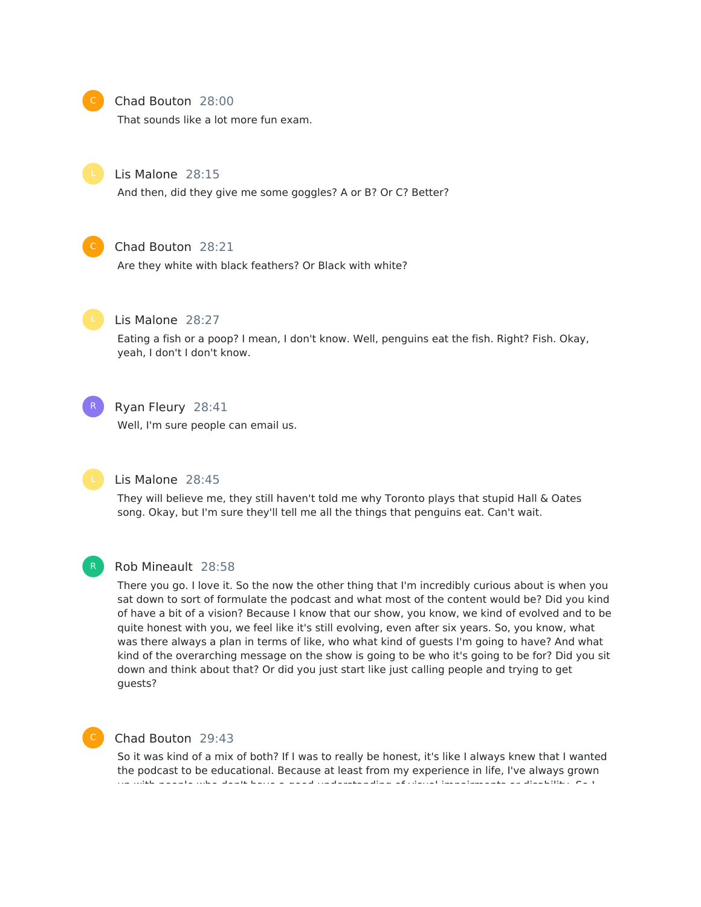

#### Chad Bouton 28:00

That sounds like a lot more fun exam.



#### Lis Malone 28:15

And then, did they give me some goggles? A or B? Or C? Better?



#### Chad Bouton 28:21

Are they white with black feathers? Or Black with white?



#### Lis Malone 28:27

Eating a fish or a poop? I mean, I don't know. Well, penguins eat the fish. Right? Fish. Okay, yeah, I don't I don't know.



#### Ryan Fleury 28:41

Well, I'm sure people can email us.



#### Lis Malone 28:45

They will believe me, they still haven't told me why Toronto plays that stupid Hall & Oates song. Okay, but I'm sure they'll tell me all the things that penguins eat. Can't wait.



#### Rob Mineault 28:58

There you go. I love it. So the now the other thing that I'm incredibly curious about is when you sat down to sort of formulate the podcast and what most of the content would be? Did you kind of have a bit of a vision? Because I know that our show, you know, we kind of evolved and to be quite honest with you, we feel like it's still evolving, even after six years. So, you know, what was there always a plan in terms of like, who what kind of guests I'm going to have? And what kind of the overarching message on the show is going to be who it's going to be for? Did you sit down and think about that? Or did you just start like just calling people and trying to get guests?



#### Chad Bouton 29:43

So it was kind of a mix of both? If I was to really be honest, it's like I always knew that I wanted the podcast to be educational. Because at least from my experience in life, I've always grown up with people who don't have a good understanding of visual impairments or disability. So I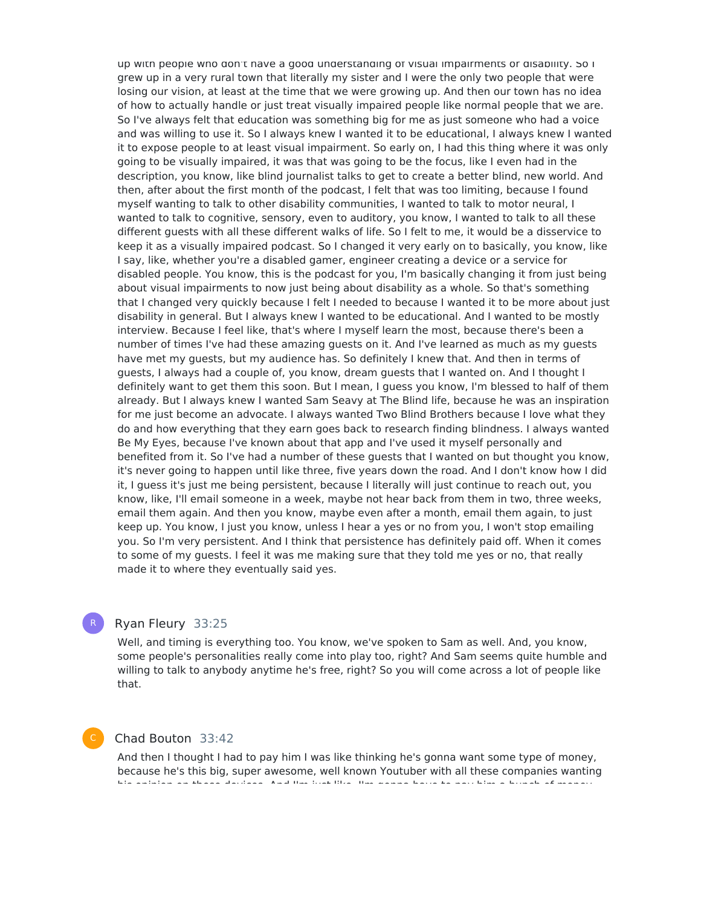up with people who don't have a good understanding of visual impairments or disability. So I grew up in a very rural town that literally my sister and I were the only two people that were losing our vision, at least at the time that we were growing up. And then our town has no idea of how to actually handle or just treat visually impaired people like normal people that we are. So I've always felt that education was something big for me as just someone who had a voice and was willing to use it. So I always knew I wanted it to be educational, I always knew I wanted it to expose people to at least visual impairment. So early on, I had this thing where it was only going to be visually impaired, it was that was going to be the focus, like I even had in the description, you know, like blind journalist talks to get to create a better blind, new world. And then, after about the first month of the podcast, I felt that was too limiting, because I found myself wanting to talk to other disability communities, I wanted to talk to motor neural, I wanted to talk to cognitive, sensory, even to auditory, you know, I wanted to talk to all these different guests with all these different walks of life. So I felt to me, it would be a disservice to keep it as a visually impaired podcast. So I changed it very early on to basically, you know, like I say, like, whether you're a disabled gamer, engineer creating a device or a service for disabled people. You know, this is the podcast for you, I'm basically changing it from just being about visual impairments to now just being about disability as a whole. So that's something that I changed very quickly because I felt I needed to because I wanted it to be more about just disability in general. But I always knew Iwanted to be educational. And I wanted to be mostly interview. Because I feel like, that's where I myself learn the most, because there's been a number of times I've had these amazing guests on it. And I've learned as much as my guests have met my guests, but my audience has. So definitely I knew that. And then in terms of guests, I always had a couple of, you know, dream guests that I wanted on. And I thought I definitely want to get them this soon. But I mean, I guess you know, I'm blessed to half of them already. But I always knew I wanted Sam Seavy at The Blind life, because he was an inspiration for me just become an advocate. I always wanted Two Blind Brothers because I love what they do and how everything that they earn goes back to research finding blindness. I always wanted Be My Eyes, because I've known about that app and I've used it myself personally and benefited from it. So I've had a number of these guests that I wanted on but thought you know, it's never going to happen until like three, five years down the road. And I don't know how I did it, I guess it's just me being persistent, because I literally will just continue to reach out, you know, like, I'll email someone in a week, maybe not hear back from them in two, three weeks, email them again. And then you know, maybe even after a month, email them again, to just keep up. You know, I just you know, unless I hear a yes or no from you, I won't stop emailing you. So I'm very persistent. And I think that persistence has definitely paid off. When it comes to some of my guests. I feel it was me making sure that they told me yes or no, that really made it to where they eventually said yes.

#### Ryan Fleury 33:25

Well, and timing is everything too. You know, we've spoken to Sam as well. And, you know, some people's personalities really come into play too, right? And Sam seems quite humble and willing to talk to anybody anytime he's free, right? So you will come across a lot of people like that.

#### Chad Bouton 33:42

And then I thought I had to pay him I was like thinking he's gonna want some type of money, because he's this big, super awesome, well known Youtuber with all these companies wanting his opinion on these devices. And I'm just like, I'm gonna have to pay him a bunch of money

R

C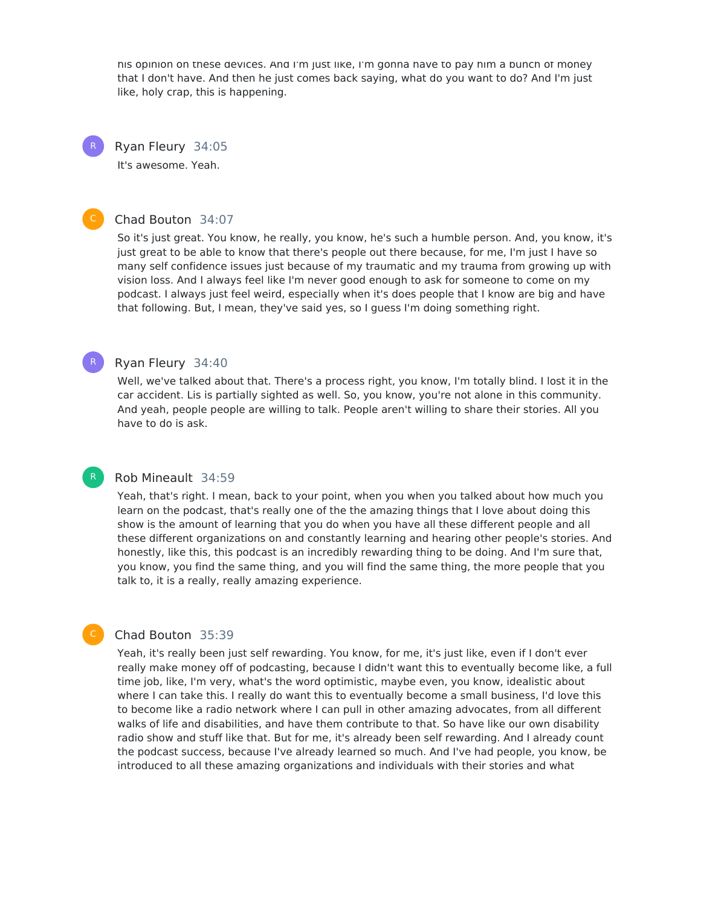his opinion on these devices. And I'm just like, I'm gonna have to pay him a bunch of money that I don't have. And then he just comes back saying, what do you want to do? And I'm just like, holy crap, this is happening.

Ryan Fleury 34:05 It's awesome. Yeah. R

#### Chad Bouton 34:07

So it's just great. You know, he really, you know, he's such a humble person. And, you know, it's just great to be able to know that there's people out there because, for me, I'm just I have so many self confidence issues just because of my traumatic and my trauma from growing up with vision loss. And I always feel like I'm never good enough to ask for someone to come on my podcast. I always just feel weird, especially when it's does people that I know are big and have that following. But, I mean, they've said yes, so I guess I'm doing something right.

#### Ryan Fleury 34:40

R

C

Well, we've talked about that. There's a process right, you know, I'm totally blind. I lost it in the car accident. Lis is partially sighted as well. So, you know, you're not alone in this community. And yeah, people people are willing to talk. People aren't willing to share their stories. All you have to do is ask.

#### Rob Mineault 34:59

Yeah, that's right. I mean, back to your point, when you when you talked about how much you learn on the podcast, that's really one of the the amazing things that I love about doing this show is the amount of learning that you do when you have all these different people and all these different organizations on and constantly learning and hearing other people's stories. And honestly, like this, this podcast is an incredibly rewarding thing to be doing. And I'm sure that, you know, you find the same thing, and you will find the same thing, the more people that you talk to, it is a really, really amazing experience.

#### Chad Bouton 35:39

Yeah, it's really been just self rewarding. You know, for me, it's just like, even if I don't ever really make money off of podcasting, because I didn't want this to eventually become like, a full time job, like, I'm very, what's the word optimistic, maybe even, you know, idealistic about where I can take this. I really do want this to eventually become a small business, I'd love this to become like a radio network where I can pull in other amazing advocates, from all different walks of life and disabilities, and have them contribute to that. So have like our own disability radio show and stuff like that. But for me, it's already been self rewarding. And I already count the podcast success, because I've already learned so much. And I've had people, you know, be introduced to all these amazing organizations and individuals with their stories and what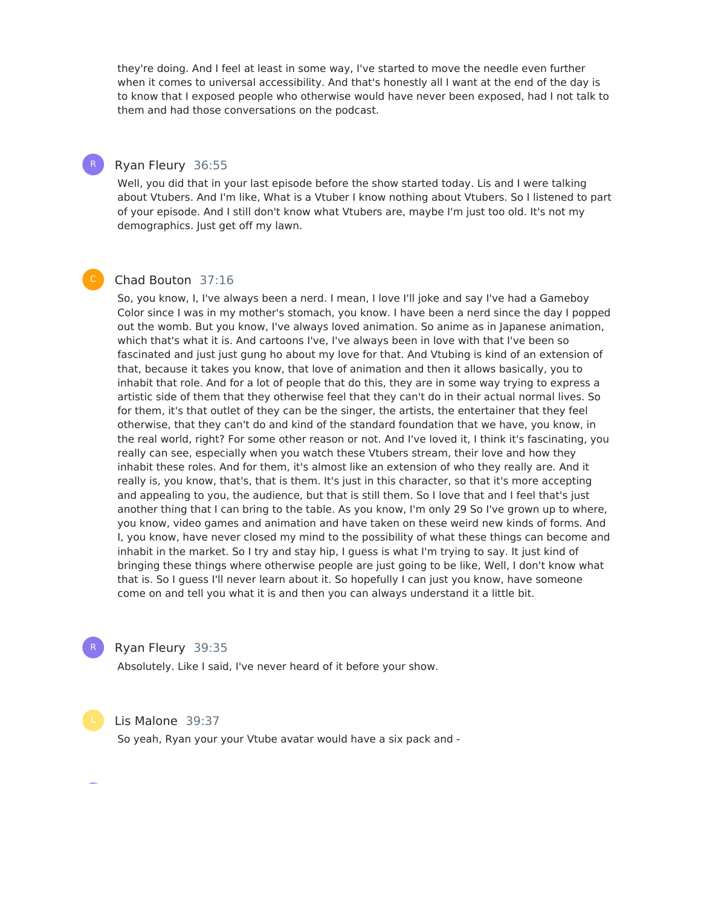they're doing. And I feel at least in some way, I've started to move the needle even further when it comes to universal accessibility. And that's honestly all I want at the end of the day is to know that I exposed people who otherwise would have never been exposed, had I not talk to them and had those conversations on the podcast.

#### Ryan Fleury 36:55

R

Well, you did that in your last episode before the show started today. Lis and I were talking about Vtubers. And I'm like, What is a Vtuber I know nothing about Vtubers. So I listened to part of your episode. And I still don't know what Vtubers are, maybe I'm just too old. It's not my demographics. Just get off my lawn.

#### Chad Bouton 37:16

So, you know, I, I've always been a nerd. I mean, I love I'll joke and say I've had a Gameboy Color since I was in my mother's stomach, you know. I have been a nerd since the day I popped out the womb. But you know, I've always loved animation. So anime as in Japanese animation, which that's what it is. And cartoons I've, I've always been in love with that I've been so fascinated and just just gung ho about my love for that. And Vtubing is kind of an extension of that, because it takes you know, that love of animation and then it allows basically, you to inhabit that role. And for a lot of people that do this, they are in some way trying to express a artistic side of them that they otherwise feel that they can't do in their actual normal lives. So for them, it's that outlet of they can be the singer, the artists, the entertainer that they feel otherwise, that they can't do and kind of the standard foundation that we have, you know, in the real world, right? For some other reason or not. And I've loved it, I think it's fascinating, you really can see, especially when you watch these Vtubers stream, their love and how they inhabit these roles. And for them, it's almost like an extension of who they really are. And it really is, you know, that's, that is them. It's just in this character, so that it's more accepting and appealing to you, the audience, but that is still them. So I love that and I feel that's just another thing that I can bring to the table. As you know, I'm only 29 So I've grown up to where, you know, video games and animation and have taken on these weird new kinds of forms. And I, you know, have never closed my mind to the possibility of what these things can become and inhabit in the market. So I try and stay hip, I guess is what I'm trying to say. It just kind of bringing these things where otherwise people are just going to be like, Well, I don't know what that is. So I guess I'll never learn about it. So hopefully I can just you know, have someone come on and tell you what it is and then you can always understand it a little bit.



#### Ryan Fleury 39:35

Absolutely. Like I said, I've never heard of it before your show.



#### Lis Malone 39:37

So yeah, Ryan your your Vtube avatar would have a six pack and -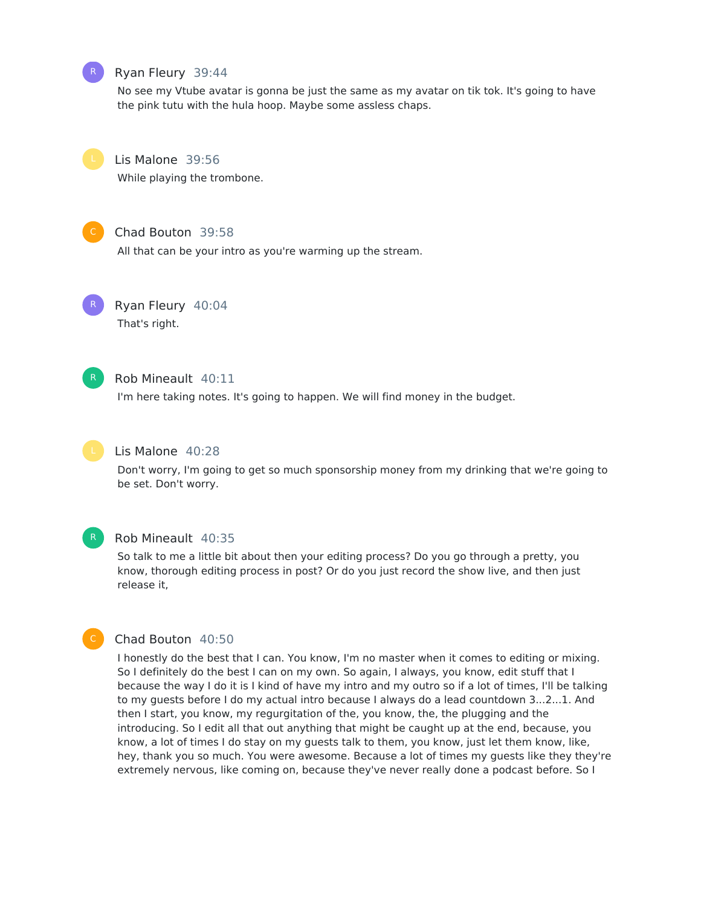

#### Ryan Fleury 39:44

No see my Vtube avatar is gonna be just the same as my avatar on tik tok. It's going to have the pink tutu with the hula hoop. Maybe some assless chaps.



Lis Malone 39:56

While playing the trombone.



#### Chad Bouton 39:58

All that can be your intro as you're warming up the stream.



Ryan Fleury 40:04 That's right.



#### Rob Mineault 40:11

I'm here taking notes. It's going to happen. We will find money in the budget.



#### Lis Malone 40:28

Don't worry, I'm going to get so much sponsorship money from my drinking that we're going to be set. Don't worry.



#### Rob Mineault 40:35

So talk to me a little bit about then your editing process? Do you go through a pretty, you know, thorough editing process in post? Or do you just record the show live, and then just release it,



#### Chad Bouton 40:50

I honestly do the best that I can. You know, I'm no master when it comes to editing or mixing. So I definitely do the best I can on my own. So again, I always, you know, edit stuff that I because the way I do it is I kind of have my intro and my outro so if a lot of times, I'll be talking to my guests before I do my actual intro because I always do a lead countdown 3...2...1. And then I start, you know, my regurgitation of the, you know, the, the plugging and the introducing. So I edit all that out anything that might be caught up at the end, because, you know, a lot of times I do stay on my guests talk to them, you know, just let them know, like, hey, thank you so much. You were awesome. Because a lot of times my guests like they they're extremely nervous, like coming on, because they've never really done a podcast before. So I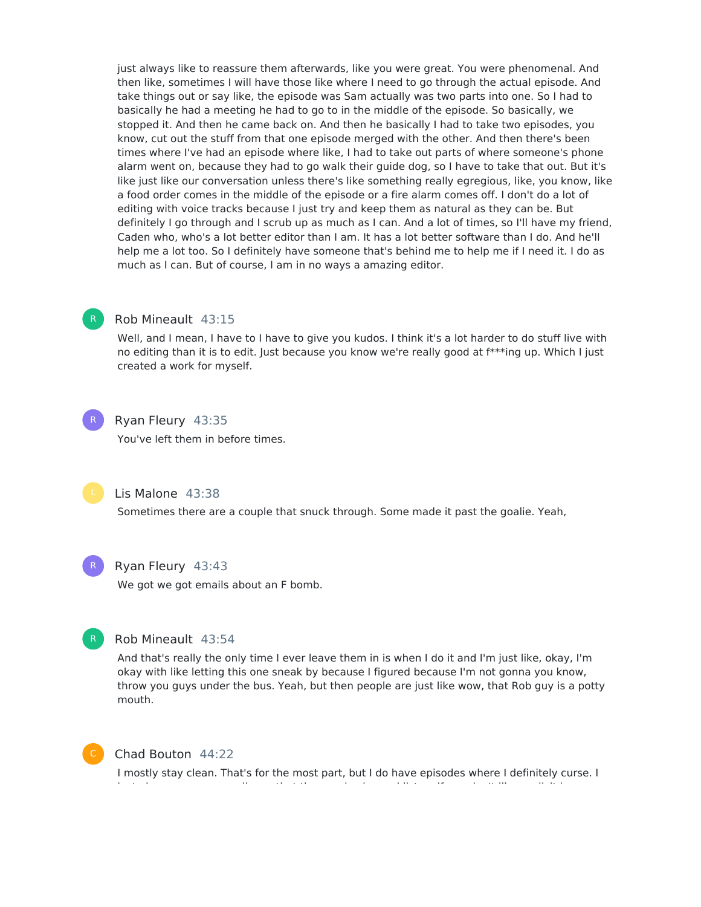just always like to reassure them afterwards, like you were great. You were phenomenal. And then like, sometimes I will have those like where I need to go through the actual episode. And take things out or say like, the episode was Sam actually was two parts into one. So I had to basically he had a meeting he had to go to in the middle of the episode. So basically, we stopped it. And then he came back on. And then he basically I had to take two episodes, you know, cut out the stuff from that one episode merged with the other. And then there's been times where I've had an episode where like, I had to take out parts of where someone's phone alarm went on, because they had to go walk their guide dog, so I have to take that out. But it's like just like our conversation unless there's like something really egregious, like, you know, like a food order comes in the middle of the episode or a fire alarm comes off. I don't do a lot of editing with voice tracks because I just try and keep them as natural as they can be. But definitely I go through and I scrub up as much as I can. And a lot of times, so I'll have my friend, Caden who, who's a lot better editor than I am. It has a lot better software than I do. And he'll help me a lot too. So I definitely have someone that's behind me to help me if I need it. I do as much as I can. But of course, I am in no ways a amazing editor.

#### Rob Mineault 43:15

Well, and I mean, I have to I have to give you kudos. I think it's a lot harder to do stuff live with no editing than it is to edit. Just because you know we're really good at f\*\*\*ing up. Which I just created a work for myself.

## R

Ryan Fleury 43:35

You've left them in before times.



Lis Malone 43:38

Sometimes there are a couple that snuck through. Some made it past the goalie. Yeah,



#### Ryan Fleury 43:43

We got we got emails about an F bomb.



#### Rob Mineault 43:54

And that's really the only time I ever leave them in is when I do it and I'm just like, okay, I'm okay with like letting this one sneak by because I figured because I'm not gonna you know, throw you guys under the bus. Yeah, but then people are just like wow, that Rob guy is a potty mouth.



#### Chad Bouton 44:22

I mostly stay clean. That's for the most part, but I do have episodes where I definitely curse. I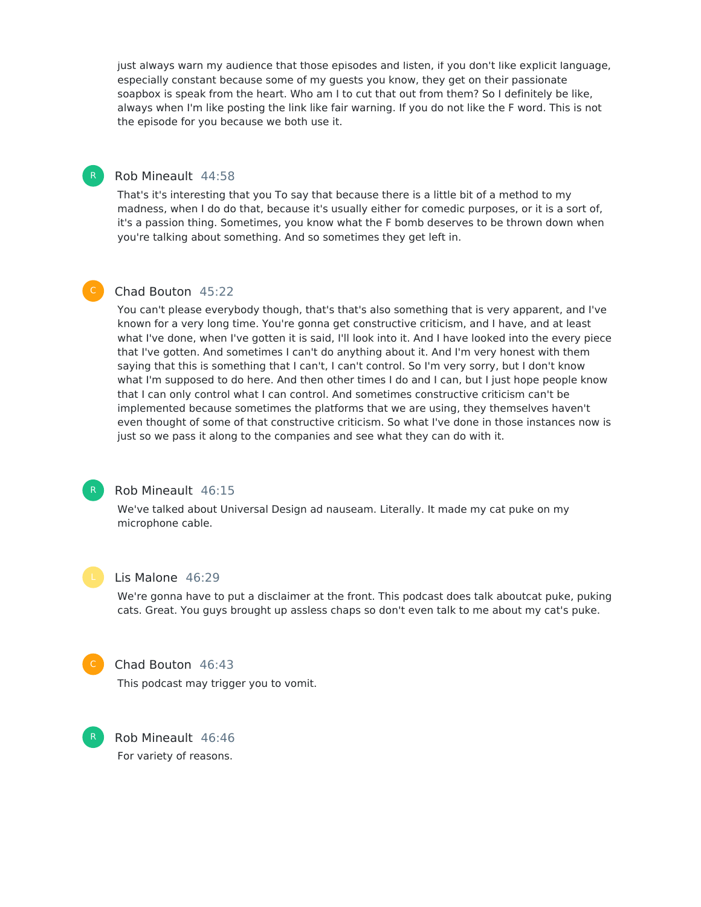just always warn my audience that those episodes and listen, if you don't like explicit language, especially constant because some of my guests you know, they get on their passionate soapbox is speak from the heart. Who am I to cut that out from them? So I definitely be like, always when I'm like posting the link like fair warning. If you do not like the F word. This is not the episode for you because we both use it.

#### Rob Mineault 44:58

That's it's interesting that you To say that because there is a little bit of a method to my madness, when I do do that, because it's usually either for comedic purposes, or it is a sort of, it's a passion thing. Sometimes, you know what the F bomb deserves to be thrown down when you're talking about something. And so sometimes they get left in.

#### Chad Bouton 45:22

You can't please everybody though, that's that's also something that is very apparent, and I've known for a very long time. You're gonna get constructive criticism, and I have, and at least what I've done, when I've gotten it is said, I'll look into it. And I have looked into the every piece that I've gotten. And sometimes I can't do anything about it. And I'm very honest with them saying that this is something that I can't, I can't control. So I'm very sorry, but I don't know what I'm supposed to do here. And then other times I do and I can, but I just hope people know that I can only control what I can control. And sometimes constructive criticism can't be implemented because sometimes the platforms that we are using, they themselves haven't even thought of some of that constructive criticism. So what I've done in those instances now is just so we pass it along to the companies and see what they can do with it.



R

#### Rob Mineault 46:15

We've talked about Universal Design ad nauseam. Literally. It made my cat puke on my microphone cable.



#### Lis Malone 46:29

We're gonna have to put a disclaimer at the front. This podcast does talk aboutcat puke, puking cats. Great. You guys brought up assless chaps so don't even talk to me about my cat's puke.



R

#### Chad Bouton 46:43

This podcast may trigger you to vomit.

Rob Mineault 46:46 For variety of reasons.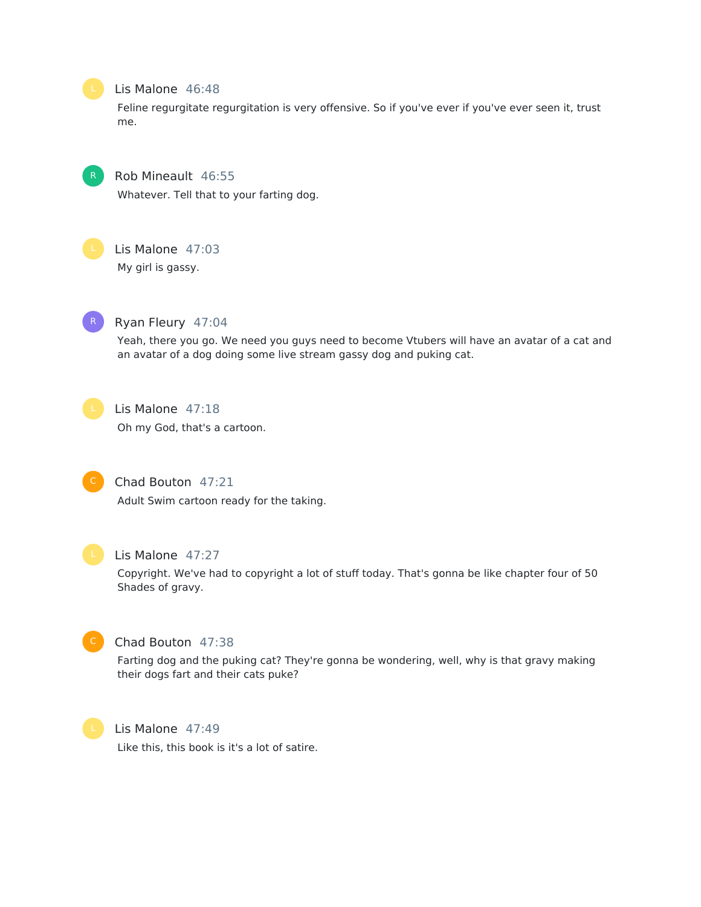

#### Lis Malone 46:48

Feline regurgitate regurgitation is very offensive. So if you've ever if you've ever seen it, trust me.



#### Rob Mineault 46:55

Whatever. Tell that to your farting dog.



#### Lis Malone 47:03

My girl is gassy.



#### Ryan Fleury 47:04

Yeah, there you go. We need you guys need to become Vtubers will have an avatar of a cat and an avatar of a dog doing some live stream gassy dog and puking cat.



#### Lis Malone 47:18

Oh my God, that's a cartoon.



#### Chad Bouton 47:21

Adult Swim cartoon ready for the taking.



#### Lis Malone 47:27

Copyright. We've had to copyright a lot of stuff today. That's gonna be like chapter four of 50 Shades of gravy.



### Chad Bouton 47:38

Farting dog and the puking cat? They're gonna be wondering, well, why is that gravy making their dogs fart and their cats puke?



#### Lis Malone 47:49

Like this, this book is it's a lot of satire.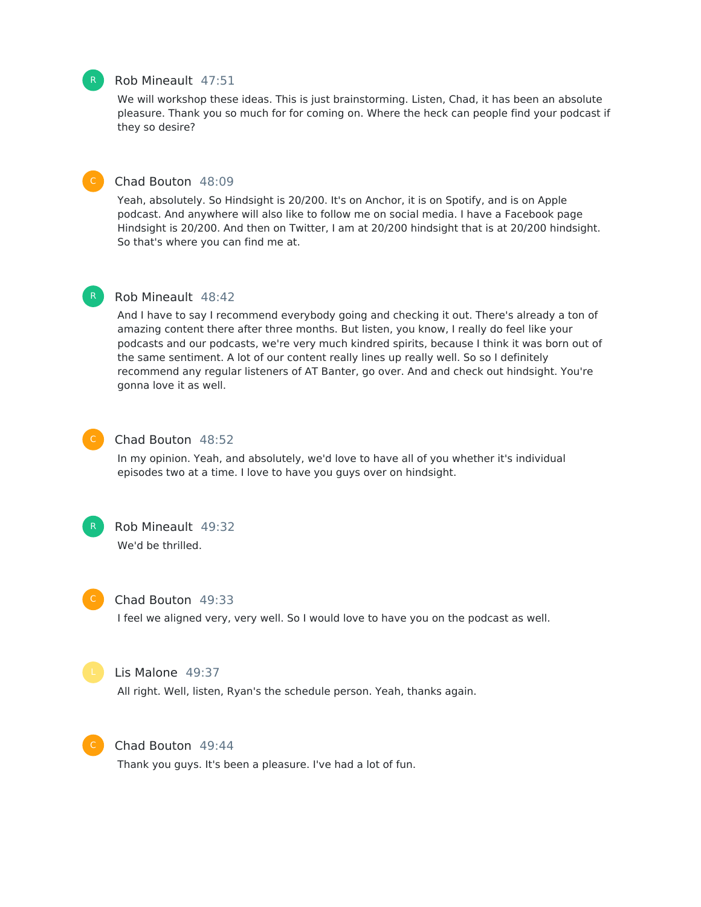#### Rob Mineault 47:51

We will workshop these ideas. This is just brainstorming. Listen, Chad, it has been an absolute pleasure. Thank you so much for for coming on. Where the heck can people find your podcast if they so desire?



R

#### Chad Bouton 48:09

Yeah, absolutely. So Hindsight is 20/200. It's on Anchor, it is on Spotify, and is on Apple podcast. And anywhere will also like to follow me on social media. I have a Facebook page Hindsight is 20/200. And then on Twitter, I am at 20/200 hindsight that is at 20/200 hindsight. So that's where you can find me at.

#### Rob Mineault 48:42

And I have to say I recommend everybody going and checking it out. There's already a ton of amazing content there after three months. But listen, you know, I really do feel like your podcasts and our podcasts, we're very much kindred spirits, because I think it was born out of the same sentiment. A lot of our content really lines up really well. So so I definitely recommend any regular listeners of AT Banter, go over. And and check out hindsight. You're gonna love it as well.



#### Chad Bouton 48:52

In my opinion. Yeah, and absolutely, we'd love to have all of you whether it's individual episodes two at a time. I love to have you guys over on hindsight.



#### Rob Mineault 49:32 We'd be thrilled.

#### Chad Bouton 49:33

I feel we aligned very, very well. So I would love to have you on the podcast as well.



#### Lis Malone 49:37

All right. Well, listen, Ryan's the schedule person. Yeah, thanks again.



#### Chad Bouton 49:44

Thank you guys. It's been a pleasure. I've had a lot of fun.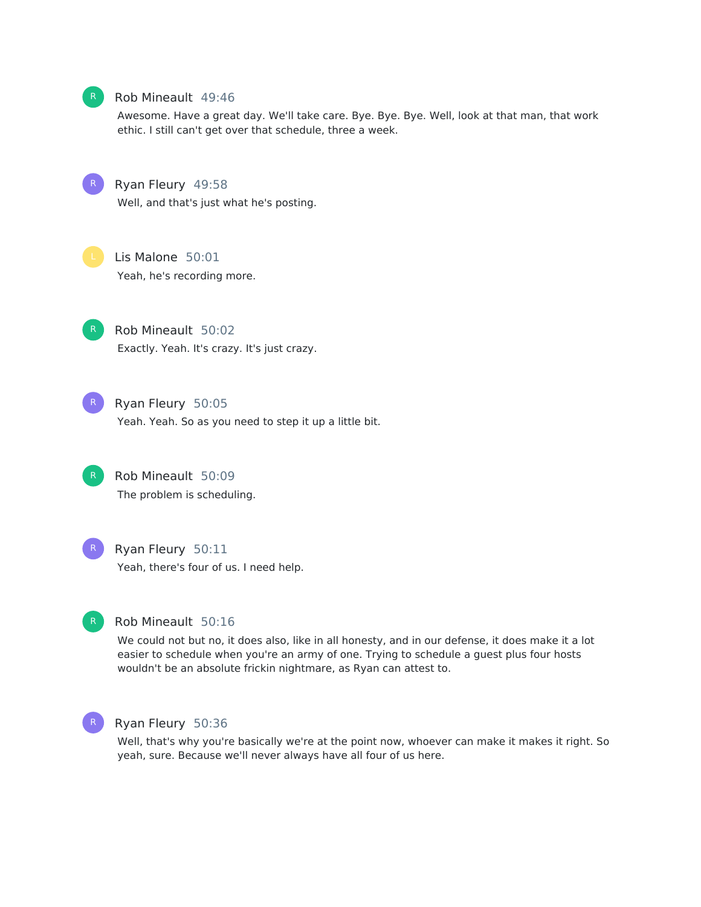

#### Rob Mineault 49:46

Awesome. Have a great day. We'll take care. Bye. Bye. Bye. Well, look at that man, that work ethic. I still can't get over that schedule, three a week.

R

Ryan Fleury 49:58

Well, and that's just what he's posting.



Lis Malone 50:01 Yeah, he's recording more.



Rob Mineault 50:02 Exactly. Yeah. It's crazy. It's just crazy.



Ryan Fleury 50:05 Yeah. Yeah. So as you need to step it up a little bit.





Ryan Fleury 50:11 Yeah, there's four of us. I need help.



#### Rob Mineault 50:16

We could not but no, it does also, like in all honesty, and in our defense, it does make it a lot easier to schedule when you're an army of one. Trying to schedule a guest plus four hosts wouldn't be an absolute frickin nightmare, as Ryan can attest to.



#### Ryan Fleury 50:36

Well, that's why you're basically we're at the point now, whoever can make it makes it right. So yeah, sure. Because we'll never always have all four of us here.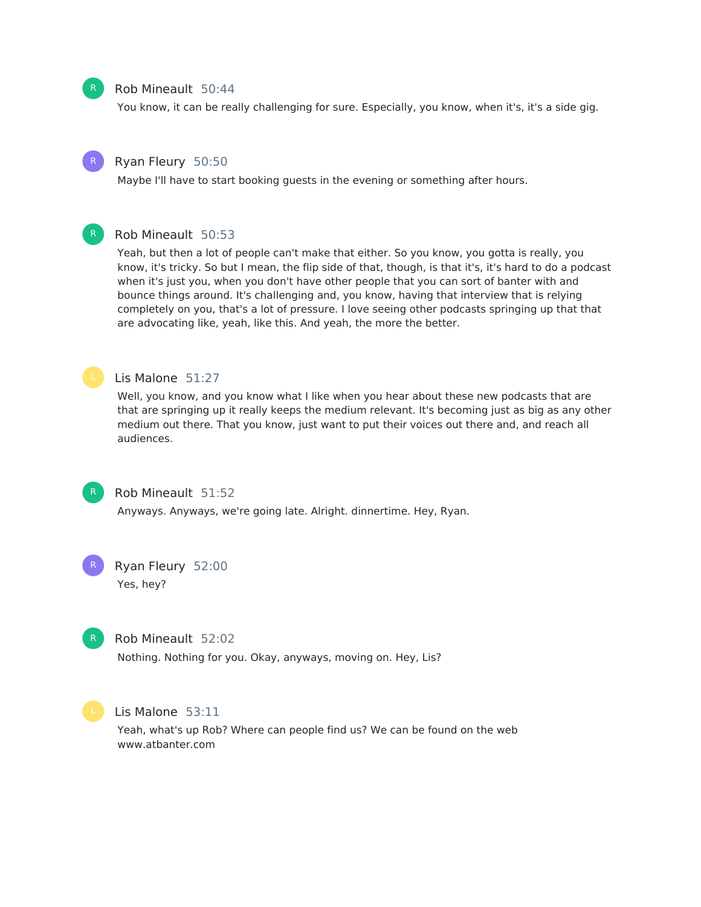

#### Rob Mineault 50:44

You know, it can be really challenging for sure. Especially, you know, when it's, it's a side gig.



#### Ryan Fleury 50:50

Maybe I'll have to start booking guests in the evening or something after hours.

#### Rob Mineault 50:53

Yeah, but then a lot of people can't make that either. So you know, you gotta is really, you know, it's tricky. So but I mean, the flip side of that, though, is that it's, it's hard to do a podcast when it's just you, when you don't have other people that you can sort of banter with and bounce things around. It's challenging and, you know, having that interview that is relying completely on you, that's a lot of pressure. I love seeing other podcasts springing up that that are advocating like, yeah, like this. And yeah, the more the better.

#### Lis Malone 51:27

Well, you know, and you know what I like when you hear about these new podcasts that are that are springing up it really keeps the medium relevant. It's becoming just as big as any other medium out there. That you know, just want to put their voices out there and, and reach all audiences.



#### Rob Mineault 51:52

Anyways. Anyways, we're going late. Alright. dinnertime. Hey, Ryan.



# Ryan Fleury 52:00

Yes, hey?



#### Rob Mineault 52:02

Nothing. Nothing for you. Okay, anyways, moving on. Hey, Lis?



### Lis Malone 53:11

Yeah, what's up Rob? Where can people find us? We can be found on the web www.atbanter.com